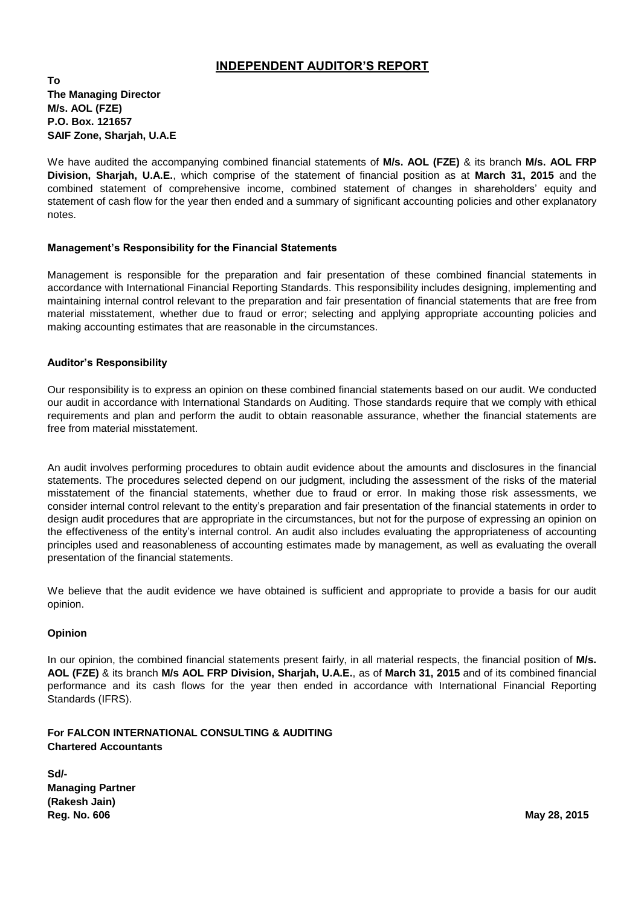# **INDEPENDENT AUDITOR'S REPORT**

**To The Managing Director M/s. AOL (FZE) P.O. Box. 121657 SAIF Zone, Sharjah, U.A.E**

We have audited the accompanying combined financial statements of **M/s. AOL (FZE)** & its branch **M/s. AOL FRP Division, Sharjah, U.A.E.**, which comprise of the statement of financial position as at **March 31, 2015** and the combined statement of comprehensive income, combined statement of changes in shareholders' equity and statement of cash flow for the year then ended and a summary of significant accounting policies and other explanatory notes.

### **Management's Responsibility for the Financial Statements**

Management is responsible for the preparation and fair presentation of these combined financial statements in accordance with International Financial Reporting Standards. This responsibility includes designing, implementing and maintaining internal control relevant to the preparation and fair presentation of financial statements that are free from material misstatement, whether due to fraud or error; selecting and applying appropriate accounting policies and making accounting estimates that are reasonable in the circumstances.

### **Auditor's Responsibility**

Our responsibility is to express an opinion on these combined financial statements based on our audit. We conducted our audit in accordance with International Standards on Auditing. Those standards require that we comply with ethical requirements and plan and perform the audit to obtain reasonable assurance, whether the financial statements are free from material misstatement.

An audit involves performing procedures to obtain audit evidence about the amounts and disclosures in the financial statements. The procedures selected depend on our judgment, including the assessment of the risks of the material misstatement of the financial statements, whether due to fraud or error. In making those risk assessments, we consider internal control relevant to the entity's preparation and fair presentation of the financial statements in order to design audit procedures that are appropriate in the circumstances, but not for the purpose of expressing an opinion on the effectiveness of the entity's internal control. An audit also includes evaluating the appropriateness of accounting principles used and reasonableness of accounting estimates made by management, as well as evaluating the overall presentation of the financial statements.

We believe that the audit evidence we have obtained is sufficient and appropriate to provide a basis for our audit opinion.

## **Opinion**

In our opinion, the combined financial statements present fairly, in all material respects, the financial position of **M/s. AOL (FZE)** & its branch **M/s AOL FRP Division, Sharjah, U.A.E.**, as of **March 31, 2015** and of its combined financial performance and its cash flows for the year then ended in accordance with International Financial Reporting Standards (IFRS).

# **For FALCON INTERNATIONAL CONSULTING & AUDITING Chartered Accountants**

**Sd/- Managing Partner (Rakesh Jain) Reg. No. 606 May 28, 2015**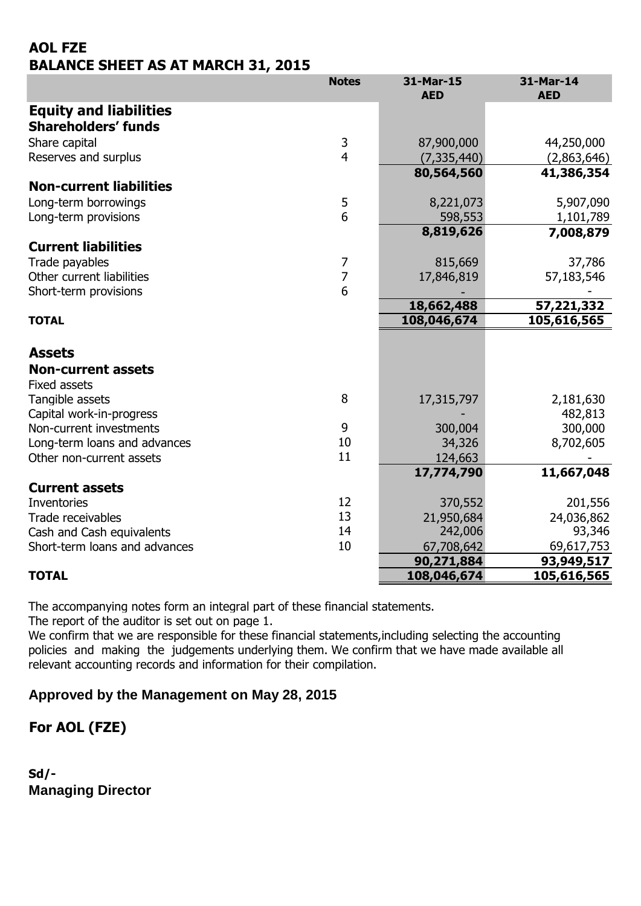# **AOL FZE BALANCE SHEET AS AT MARCH 31, 2015**

|                                                             | <b>Notes</b>        | 31-Mar-15<br><b>AED</b> | 31-Mar-14<br><b>AED</b> |
|-------------------------------------------------------------|---------------------|-------------------------|-------------------------|
| <b>Equity and liabilities</b><br><b>Shareholders' funds</b> |                     |                         |                         |
|                                                             |                     |                         |                         |
| Share capital                                               | 3<br>$\overline{4}$ | 87,900,000              | 44,250,000              |
| Reserves and surplus                                        |                     | (7, 335, 440)           | (2,863,646)             |
| <b>Non-current liabilities</b>                              |                     | 80,564,560              | 41,386,354              |
| Long-term borrowings                                        | 5                   | 8,221,073               | 5,907,090               |
| Long-term provisions                                        | 6                   | 598,553                 | 1,101,789               |
|                                                             |                     | 8,819,626               | 7,008,879               |
| <b>Current liabilities</b>                                  |                     |                         |                         |
| Trade payables                                              | 7                   | 815,669                 | 37,786                  |
| Other current liabilities                                   | $\overline{7}$      | 17,846,819              | 57,183,546              |
| Short-term provisions                                       | 6                   |                         |                         |
|                                                             |                     | 18,662,488              | 57,221,332              |
| <b>TOTAL</b>                                                |                     | 108,046,674             | 105,616,565             |
|                                                             |                     |                         |                         |
| <b>Assets</b>                                               |                     |                         |                         |
| <b>Non-current assets</b>                                   |                     |                         |                         |
| <b>Fixed assets</b>                                         |                     |                         |                         |
| Tangible assets                                             | 8                   | 17,315,797              | 2,181,630               |
| Capital work-in-progress                                    |                     |                         | 482,813                 |
| Non-current investments                                     | 9                   | 300,004                 | 300,000                 |
| Long-term loans and advances                                | 10                  | 34,326                  | 8,702,605               |
| Other non-current assets                                    | 11                  | 124,663                 |                         |
|                                                             |                     | 17,774,790              | 11,667,048              |
| <b>Current assets</b>                                       |                     |                         |                         |
| <b>Inventories</b>                                          | 12                  | 370,552                 | 201,556                 |
| Trade receivables                                           | 13                  | 21,950,684              | 24,036,862              |
| Cash and Cash equivalents                                   | 14                  | 242,006                 | 93,346                  |
| Short-term loans and advances                               | 10                  | 67,708,642              | 69,617,753              |
|                                                             |                     | 90,271,884              | 93,949,517              |
| <b>TOTAL</b>                                                |                     | 108,046,674             | 105,616,565             |

The accompanying notes form an integral part of these financial statements.

The report of the auditor is set out on page 1.

We confirm that we are responsible for these financial statements, including selecting the accounting We confirm policies and making the judgements underlying them. We confirm that we have made available all relevant accounting records and information for their compilation.

# **Approved by the Management on May 28, 2015**

# **For AOL (FZE)**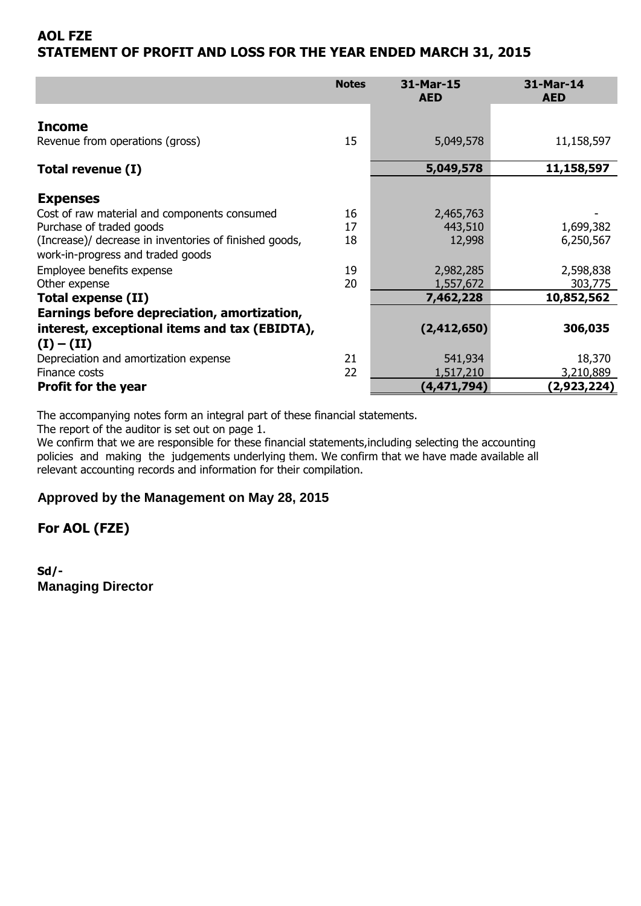# **AOL FZE STATEMENT OF PROFIT AND LOSS FOR THE YEAR ENDED MARCH 31, 2015**

|                                                                                             | <b>Notes</b> | 31-Mar-15<br><b>AED</b> | 31-Mar-14<br><b>AED</b> |
|---------------------------------------------------------------------------------------------|--------------|-------------------------|-------------------------|
| <b>Income</b>                                                                               |              |                         |                         |
| Revenue from operations (gross)                                                             | 15           | 5,049,578               | 11,158,597              |
| Total revenue (I)                                                                           |              | 5,049,578               | 11,158,597              |
| <b>Expenses</b>                                                                             |              |                         |                         |
| Cost of raw material and components consumed                                                | 16           | 2,465,763               |                         |
| Purchase of traded goods                                                                    | 17           | 443,510                 | 1,699,382               |
| (Increase)/ decrease in inventories of finished goods,<br>work-in-progress and traded goods | 18           | 12,998                  | 6,250,567               |
| Employee benefits expense                                                                   | 19           | 2,982,285               | 2,598,838               |
| Other expense                                                                               | 20           | 1,557,672               | 303,775                 |
| Total expense (II)                                                                          |              | 7,462,228               | 10,852,562              |
| Earnings before depreciation, amortization,                                                 |              |                         |                         |
| interest, exceptional items and tax (EBIDTA),                                               |              | (2,412,650)             | 306,035                 |
| $(I) - (II)$                                                                                |              |                         |                         |
| Depreciation and amortization expense                                                       | 21           | 541,934                 | 18,370                  |
| Finance costs                                                                               | 22           | 1,517,210               | 3,210,889               |
| <b>Profit for the year</b>                                                                  |              | (4,471,794)             | (2,923,224)             |

The accompanying notes form an integral part of these financial statements.

The report of the auditor is set out on page 1.

We confirm that we are responsible for these financial statements,including selecting the accounting policies and making the judgements underlying them. We confirm that we have made available all relevant accounting records and information for their compilation.

# **Approved by the Management on May 28, 2015**

# **For AOL (FZE)**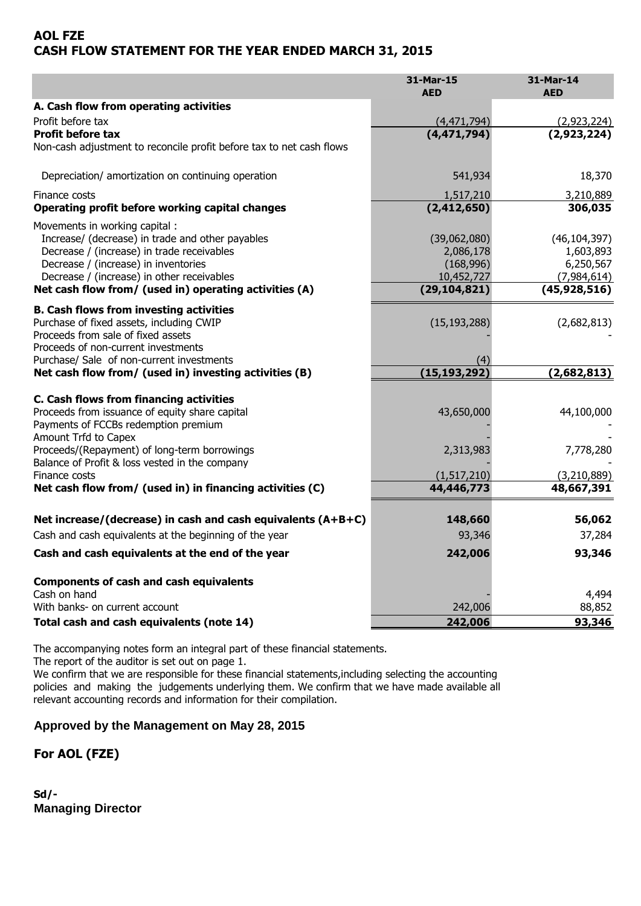# **AOL FZE CASH FLOW STATEMENT FOR THE YEAR ENDED MARCH 31, 2015**

|                                                                                                                                                                                                                        | 31-Mar-15<br><b>AED</b>                              | 31-Mar-14<br><b>AED</b>                                 |
|------------------------------------------------------------------------------------------------------------------------------------------------------------------------------------------------------------------------|------------------------------------------------------|---------------------------------------------------------|
| A. Cash flow from operating activities                                                                                                                                                                                 |                                                      |                                                         |
| Profit before tax                                                                                                                                                                                                      | (4,471,794)                                          | (2,923,224)                                             |
| <b>Profit before tax</b><br>Non-cash adjustment to reconcile profit before tax to net cash flows                                                                                                                       | (4,471,794)                                          | (2,923,224)                                             |
| Depreciation/ amortization on continuing operation                                                                                                                                                                     | 541,934                                              | 18,370                                                  |
| Finance costs                                                                                                                                                                                                          | 1,517,210                                            | 3,210,889                                               |
| Operating profit before working capital changes                                                                                                                                                                        | (2, 412, 650)                                        | 306,035                                                 |
| Movements in working capital :<br>Increase/ (decrease) in trade and other payables<br>Decrease / (increase) in trade receivables<br>Decrease / (increase) in inventories<br>Decrease / (increase) in other receivables | (39,062,080)<br>2,086,178<br>(168,996)<br>10,452,727 | (46, 104, 397)<br>1,603,893<br>6,250,567<br>(7,984,614) |
| Net cash flow from/ (used in) operating activities (A)                                                                                                                                                                 | (29, 104, 821)                                       | (45, 928, 516)                                          |
| <b>B. Cash flows from investing activities</b><br>Purchase of fixed assets, including CWIP<br>Proceeds from sale of fixed assets<br>Proceeds of non-current investments<br>Purchase/ Sale of non-current investments   | (15, 193, 288)<br>(4)                                | (2,682,813)                                             |
| Net cash flow from/ (used in) investing activities (B)                                                                                                                                                                 | (15, 193, 292)                                       | (2,682,813)                                             |
| C. Cash flows from financing activities<br>Proceeds from issuance of equity share capital<br>Payments of FCCBs redemption premium                                                                                      | 43,650,000                                           | 44,100,000                                              |
| Amount Trfd to Capex<br>Proceeds/(Repayment) of long-term borrowings<br>Balance of Profit & loss vested in the company                                                                                                 | 2,313,983                                            | 7,778,280                                               |
| Finance costs                                                                                                                                                                                                          | (1,517,210)                                          | (3,210,889)                                             |
| Net cash flow from/ (used in) in financing activities (C)                                                                                                                                                              | 44,446,773                                           | 48,667,391                                              |
| Net increase/(decrease) in cash and cash equivalents $(A+B+C)$                                                                                                                                                         | 148,660                                              | 56,062                                                  |
| Cash and cash equivalents at the beginning of the year                                                                                                                                                                 | 93,346                                               | 37,284                                                  |
| Cash and cash equivalents at the end of the year                                                                                                                                                                       | 242,006                                              | 93,346                                                  |
| <b>Components of cash and cash equivalents</b><br>Cash on hand                                                                                                                                                         |                                                      | 4,494                                                   |
| With banks- on current account                                                                                                                                                                                         | 242,006                                              | 88,852                                                  |
| Total cash and cash equivalents (note 14)                                                                                                                                                                              | 242,006                                              | 93,346                                                  |

The accompanying notes form an integral part of these financial statements.

The report of the auditor is set out on page 1.

We confirm that we are responsible for these financial statements,including selecting the accounting policies and making the judgements underlying them. We confirm that we have made available all relevant accounting records and information for their compilation.

# **Approved by the Management on May 28, 2015**

# **For AOL (FZE)**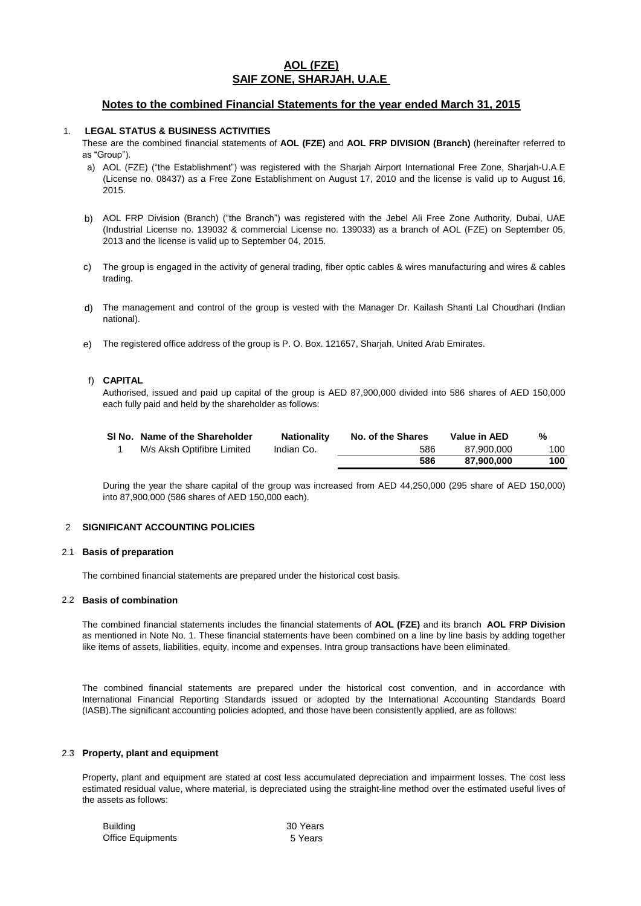## **AOL (FZE) SAIF ZONE, SHARJAH, U.A.E**

### **Notes to the combined Financial Statements for the year ended March 31, 2015**

#### 1. **LEGAL STATUS & BUSINESS ACTIVITIES**

These are the combined financial statements of **AOL (FZE)** and **AOL FRP DIVISION (Branch)** (hereinafter referred to as "Group").

- a) AOL (FZE) ("the Establishment") was registered with the Sharjah Airport International Free Zone, Sharjah-U.A.E (License no. 08437) as a Free Zone Establishment on August 17, 2010 and the license is valid up to August 16, 2015.
- b) AOL FRP Division (Branch) ("the Branch") was registered with the Jebel Ali Free Zone Authority, Dubai, UAE (Industrial License no. 139032 & commercial License no. 139033) as a branch of AOL (FZE) on September 05, 2013 and the license is valid up to September 04, 2015.
- c) The group is engaged in the activity of general trading, fiber optic cables & wires manufacturing and wires & cables trading.
- d) The management and control of the group is vested with the Manager Dr. Kailash Shanti Lal Choudhari (Indian national).
- e) The registered office address of the group is P. O. Box. 121657, Sharjah, United Arab Emirates.

#### f) **CAPITAL**

Authorised, issued and paid up capital of the group is AED 87,900,000 divided into 586 shares of AED 150,000 each fully paid and held by the shareholder as follows:

| SI No. Name of the Shareholder | <b>Nationality</b> | No. of the Shares | Value in AED | %   |
|--------------------------------|--------------------|-------------------|--------------|-----|
| M/s Aksh Optifibre Limited     | Indian Co.         | 586               | 87.900.000   | 100 |
|                                |                    | 586               | 87,900,000   | 100 |

During the year the share capital of the group was increased from AED 44,250,000 (295 share of AED 150,000) into 87,900,000 (586 shares of AED 150,000 each).

#### 2 **SIGNIFICANT ACCOUNTING POLICIES**

#### 2.1 **Basis of preparation**

The combined financial statements are prepared under the historical cost basis.

#### 2.2 **Basis of combination**

The combined financial statements includes the financial statements of **AOL (FZE)** and its branch **AOL FRP Division** as mentioned in Note No. 1. These financial statements have been combined on a line by line basis by adding together like items of assets, liabilities, equity, income and expenses. Intra group transactions have been eliminated.

The combined financial statements are prepared under the historical cost convention, and in accordance with International Financial Reporting Standards issued or adopted by the International Accounting Standards Board (IASB).The significant accounting policies adopted, and those have been consistently applied, are as follows:

#### 2.3 **Property, plant and equipment**

Property, plant and equipment are stated at cost less accumulated depreciation and impairment losses. The cost less estimated residual value, where material, is depreciated using the straight-line method over the estimated useful lives of the assets as follows:

| Building                 | 30 Years |
|--------------------------|----------|
| <b>Office Equipments</b> | 5 Years  |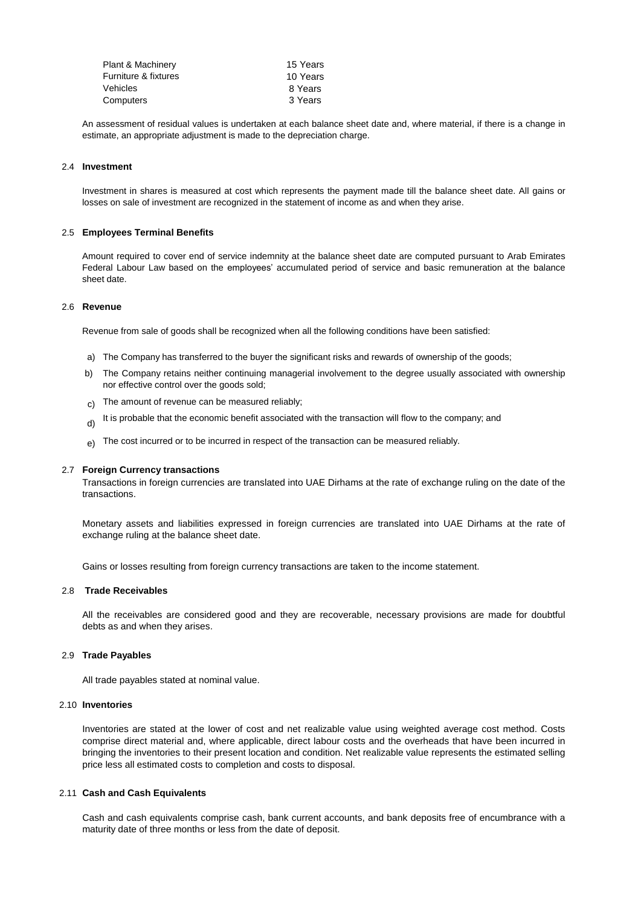| 15 Years |
|----------|
| 10 Years |
| 8 Years  |
| 3 Years  |
|          |

An assessment of residual values is undertaken at each balance sheet date and, where material, if there is a change in estimate, an appropriate adjustment is made to the depreciation charge.

#### 2.4 **Investment**

Investment in shares is measured at cost which represents the payment made till the balance sheet date. All gains or losses on sale of investment are recognized in the statement of income as and when they arise.

#### 2.5 **Employees Terminal Benefits**

Amount required to cover end of service indemnity at the balance sheet date are computed pursuant to Arab Emirates Federal Labour Law based on the employees' accumulated period of service and basic remuneration at the balance sheet date.

#### 2.6 **Revenue**

Revenue from sale of goods shall be recognized when all the following conditions have been satisfied:

- a) The Company has transferred to the buyer the significant risks and rewards of ownership of the goods;
- b) The Company retains neither continuing managerial involvement to the degree usually associated with ownership nor effective control over the goods sold;
- $_{\rm c)}$  The amount of revenue can be measured reliably;
- d) It is probable that the economic benefit associated with the transaction will flow to the company; and
- e) The cost incurred or to be incurred in respect of the transaction can be measured reliably.

#### 2.7 **Foreign Currency transactions**

Transactions in foreign currencies are translated into UAE Dirhams at the rate of exchange ruling on the date of the transactions.

Monetary assets and liabilities expressed in foreign currencies are translated into UAE Dirhams at the rate of exchange ruling at the balance sheet date.

Gains or losses resulting from foreign currency transactions are taken to the income statement.

#### 2.8 **Trade Receivables**

All the receivables are considered good and they are recoverable, necessary provisions are made for doubtful debts as and when they arises.

#### 2.9 **Trade Payables**

All trade payables stated at nominal value.

#### 2.10 **Inventories**

Inventories are stated at the lower of cost and net realizable value using weighted average cost method. Costs comprise direct material and, where applicable, direct labour costs and the overheads that have been incurred in bringing the inventories to their present location and condition. Net realizable value represents the estimated selling price less all estimated costs to completion and costs to disposal.

#### 2.11 **Cash and Cash Equivalents**

Cash and cash equivalents comprise cash, bank current accounts, and bank deposits free of encumbrance with a maturity date of three months or less from the date of deposit.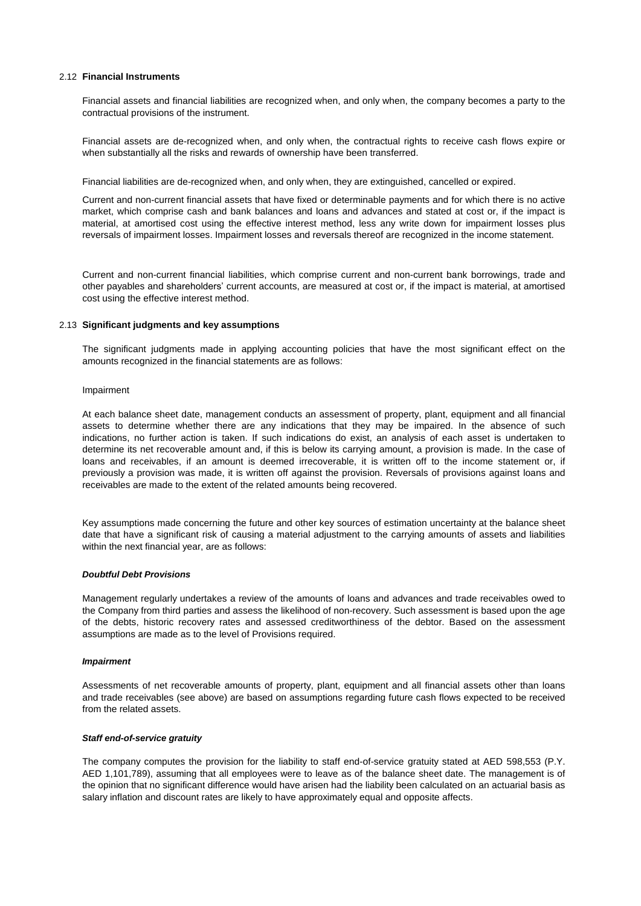#### 2.12 **Financial Instruments**

Financial assets and financial liabilities are recognized when, and only when, the company becomes a party to the contractual provisions of the instrument.

Financial assets are de-recognized when, and only when, the contractual rights to receive cash flows expire or when substantially all the risks and rewards of ownership have been transferred.

Financial liabilities are de-recognized when, and only when, they are extinguished, cancelled or expired.

Current and non-current financial assets that have fixed or determinable payments and for which there is no active market, which comprise cash and bank balances and loans and advances and stated at cost or, if the impact is material, at amortised cost using the effective interest method, less any write down for impairment losses plus reversals of impairment losses. Impairment losses and reversals thereof are recognized in the income statement.

Current and non-current financial liabilities, which comprise current and non-current bank borrowings, trade and other payables and shareholders' current accounts, are measured at cost or, if the impact is material, at amortised cost using the effective interest method.

#### 2.13 **Significant judgments and key assumptions**

The significant judgments made in applying accounting policies that have the most significant effect on the amounts recognized in the financial statements are as follows:

#### Impairment

At each balance sheet date, management conducts an assessment of property, plant, equipment and all financial assets to determine whether there are any indications that they may be impaired. In the absence of such indications, no further action is taken. If such indications do exist, an analysis of each asset is undertaken to determine its net recoverable amount and, if this is below its carrying amount, a provision is made. In the case of loans and receivables, if an amount is deemed irrecoverable, it is written off to the income statement or, if previously a provision was made, it is written off against the provision. Reversals of provisions against loans and receivables are made to the extent of the related amounts being recovered.

Key assumptions made concerning the future and other key sources of estimation uncertainty at the balance sheet date that have a significant risk of causing a material adjustment to the carrying amounts of assets and liabilities within the next financial year, are as follows:

#### *Doubtful Debt Provisions*

Management regularly undertakes a review of the amounts of loans and advances and trade receivables owed to the Company from third parties and assess the likelihood of non-recovery. Such assessment is based upon the age of the debts, historic recovery rates and assessed creditworthiness of the debtor. Based on the assessment assumptions are made as to the level of Provisions required.

#### *Impairment*

Assessments of net recoverable amounts of property, plant, equipment and all financial assets other than loans and trade receivables (see above) are based on assumptions regarding future cash flows expected to be received from the related assets.

#### *Staff end-of-service gratuity*

The company computes the provision for the liability to staff end-of-service gratuity stated at AED 598,553 (P.Y. AED 1,101,789), assuming that all employees were to leave as of the balance sheet date. The management is of the opinion that no significant difference would have arisen had the liability been calculated on an actuarial basis as salary inflation and discount rates are likely to have approximately equal and opposite affects.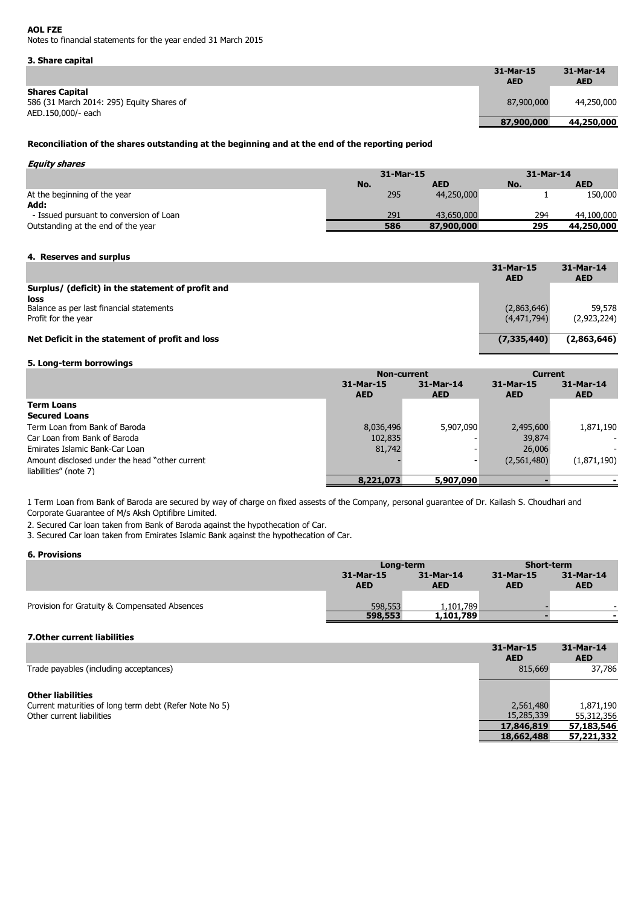# **AOL FZE**

Notes to financial statements for the year ended 31 March 2015

#### **3. Share capital**

|                                                                                          | 31-Mar-15<br><b>AED</b> | 31-Mar-14<br><b>AED</b> |
|------------------------------------------------------------------------------------------|-------------------------|-------------------------|
| <b>Shares Capital</b><br>586 (31 March 2014: 295) Equity Shares of<br>AED.150,000/- each | 87,900,000              | 44,250,000              |
|                                                                                          | 87,900,000              | 44,250,000              |

#### **Reconciliation of the shares outstanding at the beginning and at the end of the reporting period**

#### **Equity shares**

|                                         |     | 31-Mar-15 |            | 31-Mar-14 |            |
|-----------------------------------------|-----|-----------|------------|-----------|------------|
|                                         | No. |           | <b>AED</b> | No.       | <b>AED</b> |
| At the beginning of the year            |     | 295       | 44,250,000 |           | 150.000    |
| Add:                                    |     |           |            |           |            |
| - Issued pursuant to conversion of Loan |     | 291       | 43,650,000 | 294       | 44,100,000 |
| Outstanding at the end of the year      |     | 586       | 87,900,000 | 295       | 44,250,000 |

#### **4. Reserves and surplus**

|                                                                 | 31-Mar-15<br><b>AED</b>    | 31-Mar-14<br><b>AED</b> |
|-----------------------------------------------------------------|----------------------------|-------------------------|
| Surplus/ (deficit) in the statement of profit and<br>loss       |                            |                         |
| Balance as per last financial statements<br>Profit for the year | (2,863,646)<br>(4,471,794) | 59,578<br>(2,923,224)   |
| Net Deficit in the statement of profit and loss                 | (7,335,440)                | (2,863,646)             |

#### **5. Long-term borrowings**

|                                                 | <b>Non-current</b>      |                         | <b>Current</b>          |                          |
|-------------------------------------------------|-------------------------|-------------------------|-------------------------|--------------------------|
|                                                 | 31-Mar-15<br><b>AED</b> | 31-Mar-14<br><b>AED</b> | 31-Mar-15<br><b>AED</b> | 31-Mar-14<br><b>AED</b>  |
| <b>Term Loans</b>                               |                         |                         |                         |                          |
| <b>Secured Loans</b>                            |                         |                         |                         |                          |
| Term Loan from Bank of Baroda                   | 8,036,496               | 5,907,090               | 2,495,600               | 1,871,190                |
| Car Loan from Bank of Baroda                    | 102,835                 |                         | 39,874                  | $\overline{\phantom{a}}$ |
| Emirates Islamic Bank-Car Loan                  | 81,742                  |                         | 26,006                  | -                        |
| Amount disclosed under the head "other current" |                         |                         | (2,561,480)             | (1,871,190)              |
| liabilities" (note 7)                           |                         |                         |                         |                          |
|                                                 | 8,221,073               | 5,907,090               |                         |                          |

1 Term Loan from Bank of Baroda are secured by way of charge on fixed assests of the Company, personal guarantee of Dr. Kailash S. Choudhari and Corporate Guarantee of M/s Aksh Optifibre Limited.

2. Secured Car loan taken from Bank of Baroda against the hypothecation of Car.

3. Secured Car loan taken from Emirates Islamic Bank against the hypothecation of Car.

#### **6. Provisions**

|                                               | Long-term               |                         | Short-term              |                          |
|-----------------------------------------------|-------------------------|-------------------------|-------------------------|--------------------------|
|                                               | 31-Mar-15<br><b>AED</b> | 31-Mar-14<br><b>AED</b> | 31-Mar-15<br><b>AED</b> | 31-Mar-14<br><b>AED</b>  |
| Provision for Gratuity & Compensated Absences | 598,553                 | 1,101,789               |                         | -                        |
|                                               | 598,553                 | 1,101,789               |                         | $\overline{\phantom{a}}$ |

#### **7.Other current liabilities**

|                                                        | 31-Mar-15<br><b>AED</b> | 31-Mar-14<br><b>AED</b> |
|--------------------------------------------------------|-------------------------|-------------------------|
| Trade payables (including acceptances)                 | 815,669                 | 37,786                  |
| <b>Other liabilities</b>                               |                         |                         |
| Current maturities of long term debt (Refer Note No 5) | 2,561,480               | 1,871,190               |
| Other current liabilities                              | 15,285,339              | 55,312,356              |
|                                                        | 17,846,819              | 57,183,546              |
|                                                        | 18,662,488              | 57,221,332              |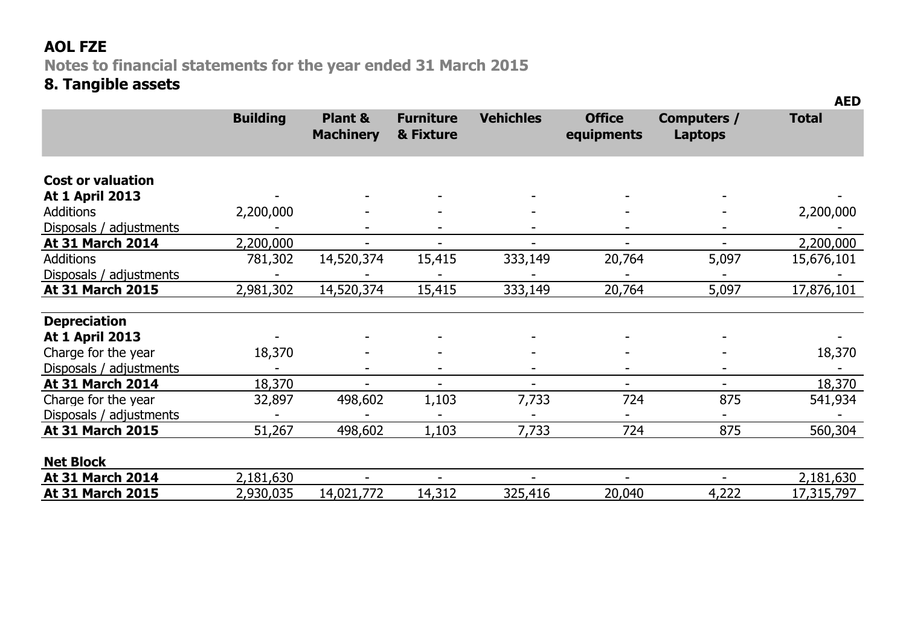# **AOL FZE**

**Notes to financial statements for the year ended 31 March 2015**

# **8. Tangible assets**

|                                                    |                 |                             |                               |                  |                             |                        | <b>ALD</b>   |
|----------------------------------------------------|-----------------|-----------------------------|-------------------------------|------------------|-----------------------------|------------------------|--------------|
|                                                    | <b>Building</b> | Plant &<br><b>Machinery</b> | <b>Furniture</b><br>& Fixture | <b>Vehichles</b> | <b>Office</b><br>equipments | Computers /<br>Laptops | <b>Total</b> |
| <b>Cost or valuation</b><br><b>At 1 April 2013</b> |                 |                             |                               |                  |                             |                        |              |
| <b>Additions</b><br>Disposals / adjustments        | 2,200,000       |                             |                               |                  |                             |                        | 2,200,000    |
| At 31 March 2014                                   | 2,200,000       |                             |                               |                  | $\qquad \qquad -$           |                        | 2,200,000    |
| <b>Additions</b><br>Disposals / adjustments        | 781,302         | 14,520,374                  | 15,415                        | 333,149          | 20,764                      | 5,097                  | 15,676,101   |
| At 31 March 2015                                   | 2,981,302       | 14,520,374                  | 15,415                        | 333,149          | 20,764                      | 5,097                  | 17,876,101   |
| <b>Depreciation</b>                                |                 |                             |                               |                  |                             |                        |              |
| <b>At 1 April 2013</b>                             |                 |                             |                               |                  |                             |                        |              |
| Charge for the year                                | 18,370          |                             |                               |                  |                             |                        | 18,370       |
| Disposals / adjustments                            |                 |                             |                               |                  |                             |                        |              |
| At 31 March 2014                                   | 18,370          |                             |                               |                  |                             | Ξ.                     | 18,370       |
| Charge for the year                                | 32,897          | 498,602                     | 1,103                         | 7,733            | 724                         | 875                    | 541,934      |
| Disposals / adjustments                            |                 |                             |                               |                  |                             |                        |              |
| At 31 March 2015                                   | 51,267          | 498,602                     | 1,103                         | 7,733            | 724                         | 875                    | 560,304      |
| <b>Net Block</b>                                   |                 |                             |                               |                  |                             |                        |              |
| At 31 March 2014                                   | 2,181,630       |                             |                               |                  | $\blacksquare$              |                        | 2,181,630    |
| At 31 March 2015                                   | 2,930,035       | 14,021,772                  | 14,312                        | 325,416          | 20,040                      | 4,222                  | 17,315,797   |

**AED**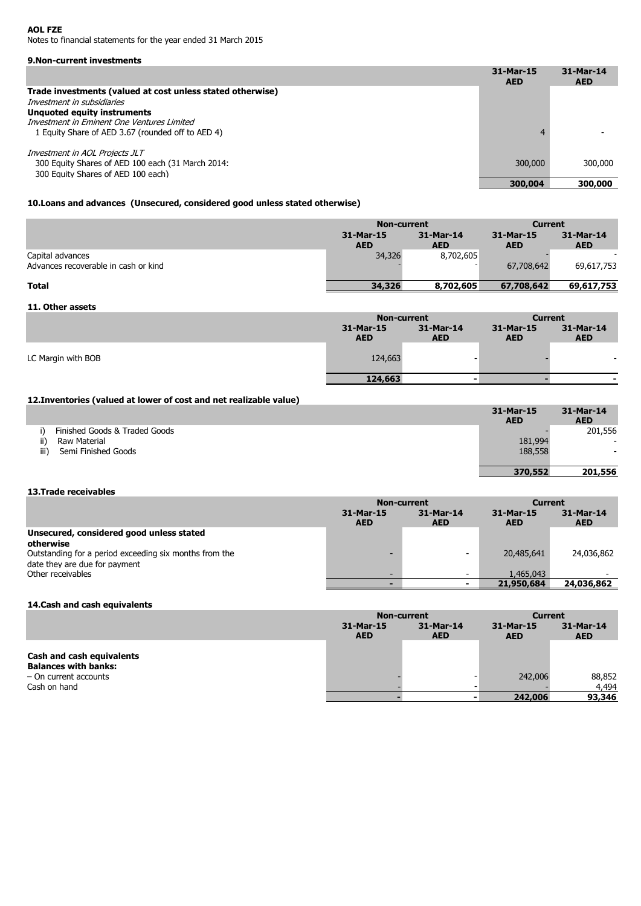#### **AOL FZE** Notes to financial statements for the year ended 31 March 2015

#### **9.Non-current investments**

|                                                            | 31-Mar-15<br><b>AED</b> | 31-Mar-14<br><b>AED</b> |
|------------------------------------------------------------|-------------------------|-------------------------|
| Trade investments (valued at cost unless stated otherwise) |                         |                         |
| Investment in subsidiaries                                 |                         |                         |
| Unauoted equity instruments                                |                         |                         |
| Investment in Eminent One Ventures Limited                 |                         |                         |
| 1 Equity Share of AED 3.67 (rounded off to AED 4)          |                         |                         |
| Investment in AOL Projects JLT                             |                         |                         |
| 300 Equity Shares of AED 100 each (31 March 2014:          | 300,000                 | 300,000                 |
| 300 Equity Shares of AED 100 each)                         |                         |                         |
|                                                            | 300.004                 | 300,000                 |

### **10.Loans and advances (Unsecured, considered good unless stated otherwise)**

|                                                          | <b>Non-current</b>      |                         | <b>Current</b>   |                         |
|----------------------------------------------------------|-------------------------|-------------------------|------------------|-------------------------|
|                                                          | 31-Mar-15<br><b>AED</b> | 31-Mar-14<br><b>AED</b> | 31-Mar-15<br>AED | 31-Mar-14<br><b>AED</b> |
| Capital advances<br>Advances recoverable in cash or kind | 34,326                  | 8,702,605               | 67,708,642       | 69,617,753              |
| <b>Total</b>                                             | 34,326                  | 8,702,605               | 67,708,642       | 69,617,753              |

#### **11. Other assets**

|                    | Non-current             |                         | <b>Current</b>          |                         |
|--------------------|-------------------------|-------------------------|-------------------------|-------------------------|
|                    | 31-Mar-15<br><b>AED</b> | 31-Mar-14<br><b>AED</b> | 31-Mar-15<br><b>AED</b> | 31-Mar-14<br><b>AED</b> |
| LC Margin with BOB | 124,663                 |                         |                         |                         |
|                    | 124,663                 |                         |                         |                         |

### **12.Inventories (valued at lower of cost and net realizable value)**

|      |                               | 31-Mar-15<br><b>AED</b> | 31-Mar-14<br><b>AED</b>  |
|------|-------------------------------|-------------------------|--------------------------|
|      | Finished Goods & Traded Goods |                         | 201,556                  |
|      | Raw Material                  | 181,994                 | $\overline{\phantom{0}}$ |
| iii) | Semi Finished Goods           | 188,558                 | $\overline{\phantom{0}}$ |
|      |                               |                         |                          |
|      |                               | 370,552                 | 201,556                  |

### **13.Trade receivables**

|                                                        | <b>Non-current</b>      |                         | <b>Current</b>          |                         |
|--------------------------------------------------------|-------------------------|-------------------------|-------------------------|-------------------------|
|                                                        | 31-Mar-15<br><b>AED</b> | 31-Mar-14<br><b>AED</b> | 31-Mar-15<br><b>AED</b> | 31-Mar-14<br><b>AED</b> |
| Unsecured, considered good unless stated               |                         |                         |                         |                         |
| otherwise                                              |                         |                         |                         |                         |
| Outstanding for a period exceeding six months from the |                         |                         | 20,485,641              | 24,036,862              |
| date they are due for payment                          |                         |                         |                         |                         |
| Other receivables                                      | -                       |                         | 1,465,043               |                         |
|                                                        |                         |                         | 21,950,684              | 24,036,862              |

| 14. Cash and cash equivalents                            |                         |                         |                         |                         |
|----------------------------------------------------------|-------------------------|-------------------------|-------------------------|-------------------------|
|                                                          |                         | <b>Non-current</b>      |                         | <b>Current</b>          |
|                                                          | 31-Mar-15<br><b>AED</b> | 31-Mar-14<br><b>AED</b> | 31-Mar-15<br><b>AED</b> | 31-Mar-14<br><b>AED</b> |
| Cash and cash equivalents<br><b>Balances with banks:</b> |                         |                         |                         |                         |
| $-$ On current accounts                                  |                         |                         | 242,006                 | 88,852                  |
| Cash on hand                                             |                         |                         |                         | 4,494                   |
|                                                          |                         |                         | 242,006                 | 93,346                  |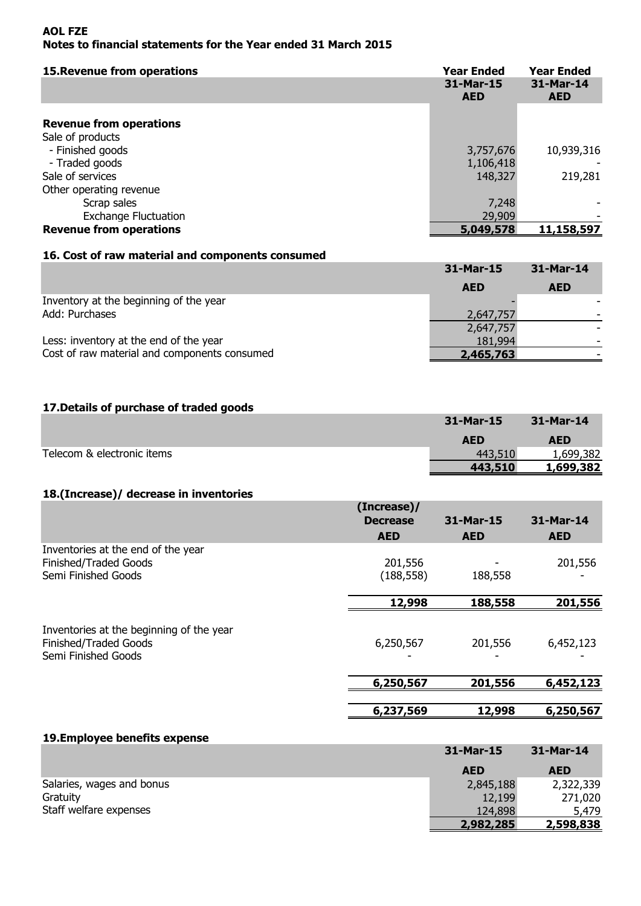# **AOL FZE Notes to financial statements for the Year ended 31 March 2015**

# **15.Revenue from operations Year Ended Year Ended**

| 19. Revenue Trom Operations    | rcar Lilucu             | Tai Filaca              |
|--------------------------------|-------------------------|-------------------------|
|                                | 31-Mar-15<br><b>AED</b> | 31-Mar-14<br><b>AED</b> |
| <b>Revenue from operations</b> |                         |                         |
| Sale of products               |                         |                         |
| - Finished goods               | 3,757,676               | 10,939,316              |
| - Traded goods                 | 1,106,418               |                         |
| Sale of services               | 148,327                 | 219,281                 |
| Other operating revenue        |                         |                         |
| Scrap sales                    | 7,248                   |                         |
| <b>Exchange Fluctuation</b>    | 29,909                  |                         |
| <b>Revenue from operations</b> | 5,049,578               | 11,158,597              |
|                                |                         |                         |

# **16. Cost of raw material and components consumed**

|                                              | 31-Mar-15  | 31-Mar-14  |
|----------------------------------------------|------------|------------|
|                                              | <b>AED</b> | <b>AED</b> |
| Inventory at the beginning of the year       |            |            |
| Add: Purchases                               | 2,647,757  |            |
|                                              | 2,647,757  |            |
| Less: inventory at the end of the year       | 181,994    |            |
| Cost of raw material and components consumed | 2,465,763  |            |

# **17.Details of purchase of traded goods**

|                            | 31-Mar-15  | 31-Mar-14  |
|----------------------------|------------|------------|
|                            | <b>AED</b> | <b>AED</b> |
| Telecom & electronic items | 443,510    | 1,699,382  |
|                            | 443,510    | 1,699,382  |

# **18.(Increase)/ decrease in inventories**

|                                          | (Increase)/     |            |            |
|------------------------------------------|-----------------|------------|------------|
|                                          | <b>Decrease</b> | 31-Mar-15  | 31-Mar-14  |
|                                          | <b>AED</b>      | <b>AED</b> | <b>AED</b> |
| Inventories at the end of the year       |                 |            |            |
| Finished/Traded Goods                    | 201,556         |            | 201,556    |
| Semi Finished Goods                      | (188, 558)      | 188,558    |            |
|                                          | 12,998          | 188,558    | 201,556    |
| Inventories at the beginning of the year |                 |            |            |
| Finished/Traded Goods                    | 6,250,567       | 201,556    | 6,452,123  |
| Semi Finished Goods                      |                 |            |            |
|                                          | 6,250,567       | 201,556    | 6,452,123  |
|                                          | 6,237,569       | 12,998     | 6,250,567  |

# **19.Employee benefits expense**

|                           | 31-Mar-15  | 31-Mar-14  |
|---------------------------|------------|------------|
|                           | <b>AED</b> | <b>AED</b> |
| Salaries, wages and bonus | 2,845,188  | 2,322,339  |
| Gratuity                  | 12,199     | 271,020    |
| Staff welfare expenses    | 124,898    | 5,479      |
|                           | 2,982,285  | 2,598,838  |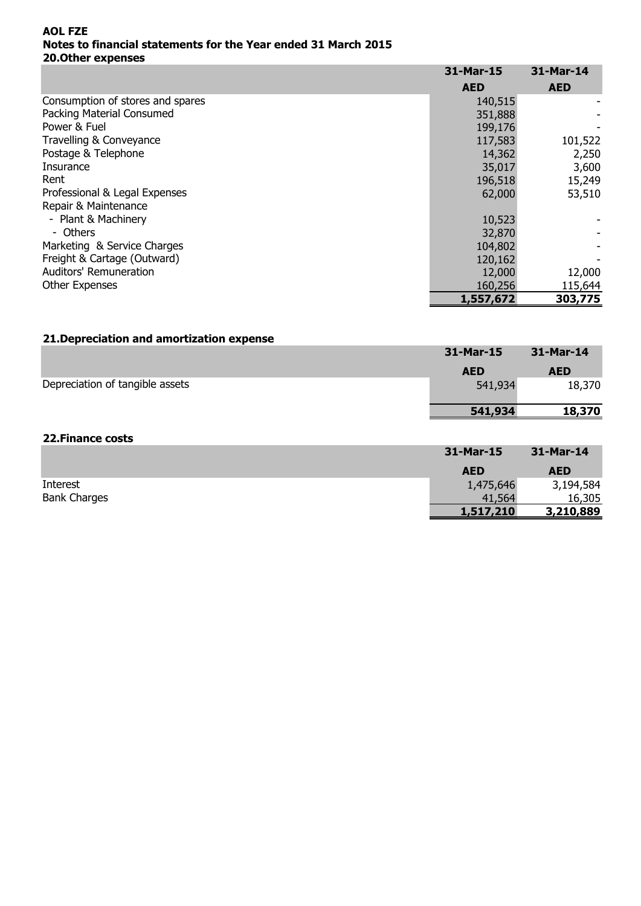# **AOL FZE Notes to financial statements for the Year ended 31 March 2015 20.Other expenses**

|                                  | 31-Mar-15  | 31-Mar-14  |
|----------------------------------|------------|------------|
|                                  | <b>AED</b> | <b>AED</b> |
| Consumption of stores and spares | 140,515    |            |
| Packing Material Consumed        | 351,888    |            |
| Power & Fuel                     | 199,176    |            |
| Travelling & Conveyance          | 117,583    | 101,522    |
| Postage & Telephone              | 14,362     | 2,250      |
| Insurance                        | 35,017     | 3,600      |
| Rent                             | 196,518    | 15,249     |
| Professional & Legal Expenses    | 62,000     | 53,510     |
| Repair & Maintenance             |            |            |
| - Plant & Machinery              | 10,523     |            |
| - Others                         | 32,870     |            |
| Marketing & Service Charges      | 104,802    |            |
| Freight & Cartage (Outward)      | 120,162    |            |
| Auditors' Remuneration           | 12,000     | 12,000     |
| <b>Other Expenses</b>            | 160,256    | 115,644    |
|                                  | 1,557,672  | 303,775    |

# **21.Depreciation and amortization expense**

| ELIP OPT OUR GUYT MITH MITHT GENGENT UAPOITS | 31-Mar-15  | 31-Mar-14  |
|----------------------------------------------|------------|------------|
|                                              | <b>AED</b> | <b>AED</b> |
| Depreciation of tangible assets              | 541,934    | 18,370     |
|                                              | 541,934    | 18,370     |

# **22.Finance costs**

|                     | 31-Mar-15  | 31-Mar-14  |
|---------------------|------------|------------|
|                     | <b>AED</b> | <b>AED</b> |
| Interest            | 1,475,646  | 3,194,584  |
| <b>Bank Charges</b> | 41,564     | 16,305     |
|                     | 1,517,210  | 3,210,889  |